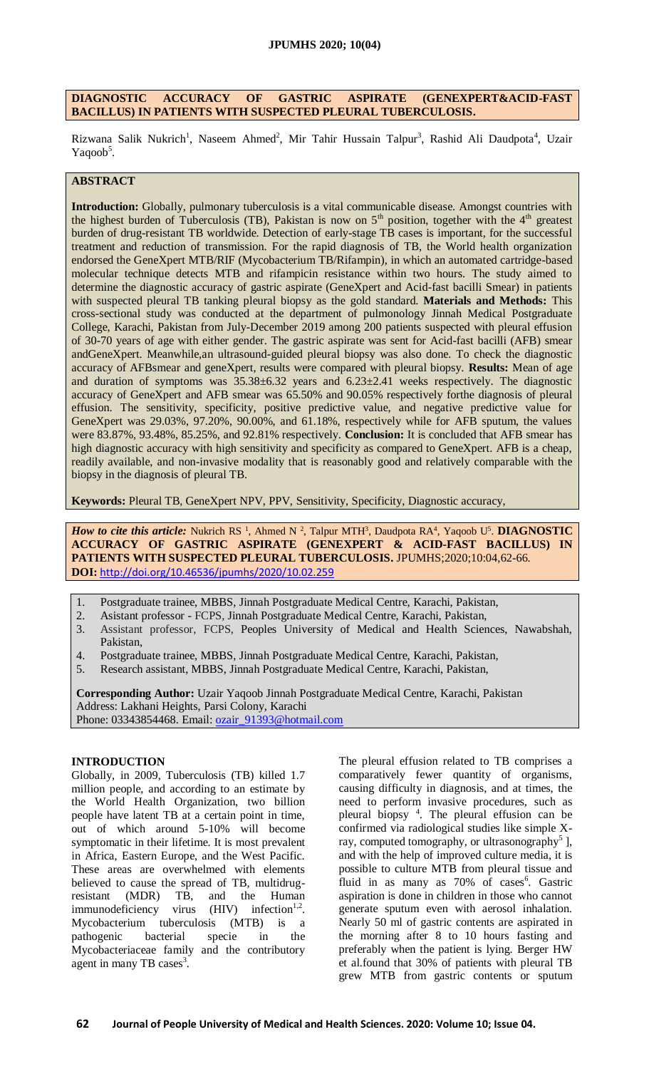# **DIAGNOSTIC ACCURACY OF GASTRIC ASPIRATE (GENEXPERT&ACID-FAST BACILLUS) IN PATIENTS WITH SUSPECTED PLEURAL TUBERCULOSIS.**

Rizwana Salik Nukrich<sup>1</sup>, Naseem Ahmed<sup>2</sup>, Mir Tahir Hussain Talpur<sup>3</sup>, Rashid Ali Daudpota<sup>4</sup>, Uzair Yaqoob<sup>5</sup>.

# **ABSTRACT**

**Introduction:** Globally, pulmonary tuberculosis is a vital communicable disease. Amongst countries with the highest burden of Tuberculosis (TB), Pakistan is now on  $5<sup>th</sup>$  position, together with the  $4<sup>th</sup>$  greatest burden of drug-resistant TB worldwide. Detection of early-stage TB cases is important, for the successful treatment and reduction of transmission. For the rapid diagnosis of TB, the World health organization endorsed the GeneXpert MTB/RIF (Mycobacterium TB/Rifampin), in which an automated cartridge-based molecular technique detects MTB and rifampicin resistance within two hours. The study aimed to determine the diagnostic accuracy of gastric aspirate (GeneXpert and Acid-fast bacilli Smear) in patients with suspected pleural TB tanking pleural biopsy as the gold standard. **Materials and Methods:** This cross-sectional study was conducted at the department of pulmonology Jinnah Medical Postgraduate College, Karachi, Pakistan from July-December 2019 among 200 patients suspected with pleural effusion of 30-70 years of age with either gender. The gastric aspirate was sent for Acid-fast bacilli (AFB) smear andGeneXpert. Meanwhile,an ultrasound-guided pleural biopsy was also done. To check the diagnostic accuracy of AFBsmear and geneXpert, results were compared with pleural biopsy. **Results:** Mean of age and duration of symptoms was 35.38±6.32 years and 6.23±2.41 weeks respectively. The diagnostic accuracy of GeneXpert and AFB smear was 65.50% and 90.05% respectively forthe diagnosis of pleural effusion. The sensitivity, specificity, positive predictive value, and negative predictive value for GeneXpert was 29.03%, 97.20%, 90.00%, and 61.18%, respectively while for AFB sputum, the values were 83.87%, 93.48%, 85.25%, and 92.81% respectively. **Conclusion:** It is concluded that AFB smear has high diagnostic accuracy with high sensitivity and specificity as compared to GeneXpert. AFB is a cheap, readily available, and non-invasive modality that is reasonably good and relatively comparable with the biopsy in the diagnosis of pleural TB.

**Keywords:** Pleural TB, GeneXpert NPV, PPV, Sensitivity, Specificity, Diagnostic accuracy,

*How to cite this article:* Nukrich RS<sup>1</sup>, Ahmed N<sup>2</sup>, Talpur MTH<sup>3</sup>, Daudpota RA<sup>4</sup>, Yaqoob U<sup>5</sup>. **DIAGNOSTIC ACCURACY OF GASTRIC ASPIRATE (GENEXPERT & ACID-FAST BACILLUS) IN PATIENTS WITH SUSPECTED PLEURAL TUBERCULOSIS.** JPUMHS;2020;10:04,62-66. **DOI:** <http://doi.org/10.46536/jpumhs/2020/10.02.259>

- 1. Postgraduate trainee, MBBS, Jinnah Postgraduate Medical Centre, Karachi, Pakistan,
- 2. Asistant professor FCPS, Jinnah Postgraduate Medical Centre, Karachi, Pakistan,
- 3. Assistant professor, FCPS, Peoples University of Medical and Health Sciences, Nawabshah, Pakistan,
- 4. Postgraduate trainee, MBBS, Jinnah Postgraduate Medical Centre, Karachi, Pakistan,
- 5. Research assistant, MBBS, Jinnah Postgraduate Medical Centre, Karachi, Pakistan,

**Corresponding Author:** Uzair Yaqoob Jinnah Postgraduate Medical Centre, Karachi, Pakistan Address: Lakhani Heights, Parsi Colony, Karachi Phone: 03343854468. Email: [ozair\\_91393@hotmail.com](mailto:ozair_91393@hotmail.com)

#### **INTRODUCTION**

Globally, in 2009, Tuberculosis (TB) killed 1.7 million people, and according to an estimate by the World Health Organization, two billion people have latent TB at a certain point in time, out of which around 5-10% will become symptomatic in their lifetime. It is most prevalent in Africa, Eastern Europe, and the West Pacific. These areas are overwhelmed with elements believed to cause the spread of TB, multidrugresistant (MDR) TB, and the Human  $immunodeficiency$  virus  $(HIV)$  infection<sup>1,2</sup>. Mycobacterium tuberculosis (MTB) is a pathogenic bacterial specie in the Mycobacteriaceae family and the contributory agent in many TB cases<sup>3</sup>.

The pleural effusion related to TB comprises a comparatively fewer quantity of organisms, causing difficulty in diagnosis, and at times, the need to perform invasive procedures, such as pleural biopsy <sup>4</sup> . The pleural effusion can be confirmed via radiological studies like simple Xray, computed tomography, or ultrasonography<sup>5</sup>], and with the help of improved culture media, it is possible to culture MTB from pleural tissue and fluid in as many as 70% of cases<sup>6</sup>. Gastric aspiration is done in children in those who cannot generate sputum even with aerosol inhalation. Nearly 50 ml of gastric contents are aspirated in the morning after 8 to 10 hours fasting and preferably when the patient is lying. Berger HW et al.found that 30% of patients with pleural TB grew MTB from gastric contents or sputum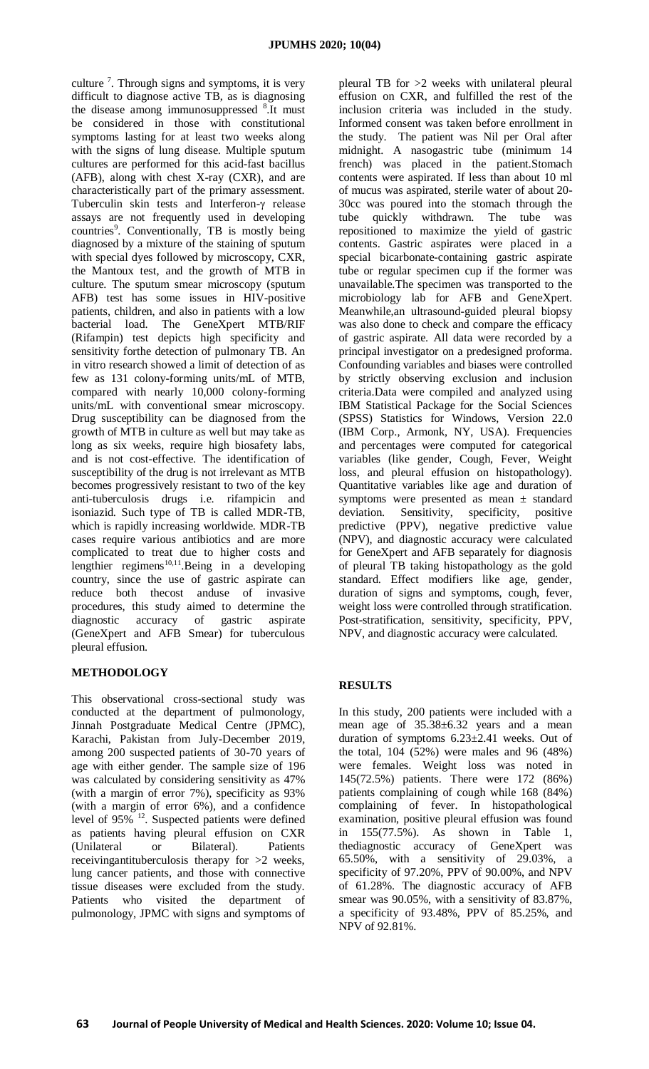culture<sup>7</sup>. Through signs and symptoms, it is very difficult to diagnose active TB, as is diagnosing the disease among immunosuppressed <sup>8</sup>. It must be considered in those with constitutional symptoms lasting for at least two weeks along with the signs of lung disease. Multiple sputum cultures are performed for this acid-fast bacillus (AFB), along with chest X-ray (CXR), and are characteristically part of the primary assessment. Tuberculin skin tests and Interferon-γ release assays are not frequently used in developing countries<sup>9</sup>. Conventionally, TB is mostly being diagnosed by a mixture of the staining of sputum with special dyes followed by microscopy, CXR, the Mantoux test, and the growth of MTB in culture. The sputum smear microscopy (sputum AFB) test has some issues in HIV-positive patients, children, and also in patients with a low bacterial load. The GeneXpert MTB/RIF (Rifampin) test depicts high specificity and sensitivity forthe detection of pulmonary TB. An in vitro research showed a limit of detection of as few as 131 colony-forming units/mL of MTB, compared with nearly 10,000 colony-forming units/mL with conventional smear microscopy. Drug susceptibility can be diagnosed from the growth of MTB in culture as well but may take as long as six weeks, require high biosafety labs, and is not cost-effective. The identification of susceptibility of the drug is not irrelevant as MTB becomes progressively resistant to two of the key anti-tuberculosis drugs i.e. rifampicin and isoniazid. Such type of TB is called MDR-TB, which is rapidly increasing worldwide. MDR-TB cases require various antibiotics and are more complicated to treat due to higher costs and lengthier regimens<sup>10,11</sup>.Being in a developing country, since the use of gastric aspirate can reduce both thecost anduse of invasive procedures, this study aimed to determine the diagnostic accuracy of gastric aspirate (GeneXpert and AFB Smear) for tuberculous pleural effusion.

# **METHODOLOGY**

This observational cross-sectional study was conducted at the department of pulmonology, Jinnah Postgraduate Medical Centre (JPMC), Karachi, Pakistan from July-December 2019, among 200 suspected patients of 30-70 years of age with either gender. The sample size of 196 was calculated by considering sensitivity as 47% (with a margin of error 7%), specificity as 93% (with a margin of error 6%), and a confidence level of  $95\%$ <sup>12</sup>. Suspected patients were defined as patients having pleural effusion on CXR (Unilateral or Bilateral). Patients receivingantituberculosis therapy for >2 weeks, lung cancer patients, and those with connective tissue diseases were excluded from the study. Patients who visited the department of pulmonology, JPMC with signs and symptoms of pleural TB for >2 weeks with unilateral pleural effusion on CXR, and fulfilled the rest of the inclusion criteria was included in the study. Informed consent was taken before enrollment in the study. The patient was Nil per Oral after midnight. A nasogastric tube (minimum 14 french) was placed in the patient.Stomach contents were aspirated. If less than about 10 ml of mucus was aspirated, sterile water of about 20- 30cc was poured into the stomach through the tube quickly withdrawn. The tube was repositioned to maximize the yield of gastric contents. Gastric aspirates were placed in a special bicarbonate-containing gastric aspirate tube or regular specimen cup if the former was unavailable.The specimen was transported to the microbiology lab for AFB and GeneXpert. Meanwhile,an ultrasound-guided pleural biopsy was also done to check and compare the efficacy of gastric aspirate. All data were recorded by a principal investigator on a predesigned proforma. Confounding variables and biases were controlled by strictly observing exclusion and inclusion criteria.Data were compiled and analyzed using IBM Statistical Package for the Social Sciences (SPSS) Statistics for Windows, Version 22.0 (IBM Corp., Armonk, NY, USA). Frequencies and percentages were computed for categorical variables (like gender, Cough, Fever, Weight loss, and pleural effusion on histopathology). Quantitative variables like age and duration of symptoms were presented as mean  $\pm$  standard deviation. Sensitivity, specificity, positive predictive (PPV), negative predictive value (NPV), and diagnostic accuracy were calculated for GeneXpert and AFB separately for diagnosis of pleural TB taking histopathology as the gold standard. Effect modifiers like age, gender, duration of signs and symptoms, cough, fever, weight loss were controlled through stratification. Post-stratification, sensitivity, specificity, PPV, NPV, and diagnostic accuracy were calculated.

# **RESULTS**

In this study, 200 patients were included with a mean age of 35.38±6.32 years and a mean duration of symptoms 6.23±2.41 weeks. Out of the total, 104 (52%) were males and 96 (48%) were females. Weight loss was noted in 145(72.5%) patients. There were 172 (86%) patients complaining of cough while 168 (84%) complaining of fever. In histopathological examination, positive pleural effusion was found in 155(77.5%). As shown in Table 1, thediagnostic accuracy of GeneXpert was 65.50%, with a sensitivity of 29.03%, a specificity of 97.20%, PPV of 90.00%, and NPV of 61.28%. The diagnostic accuracy of AFB smear was 90.05%, with a sensitivity of 83.87%, a specificity of 93.48%, PPV of 85.25%, and NPV of 92.81%.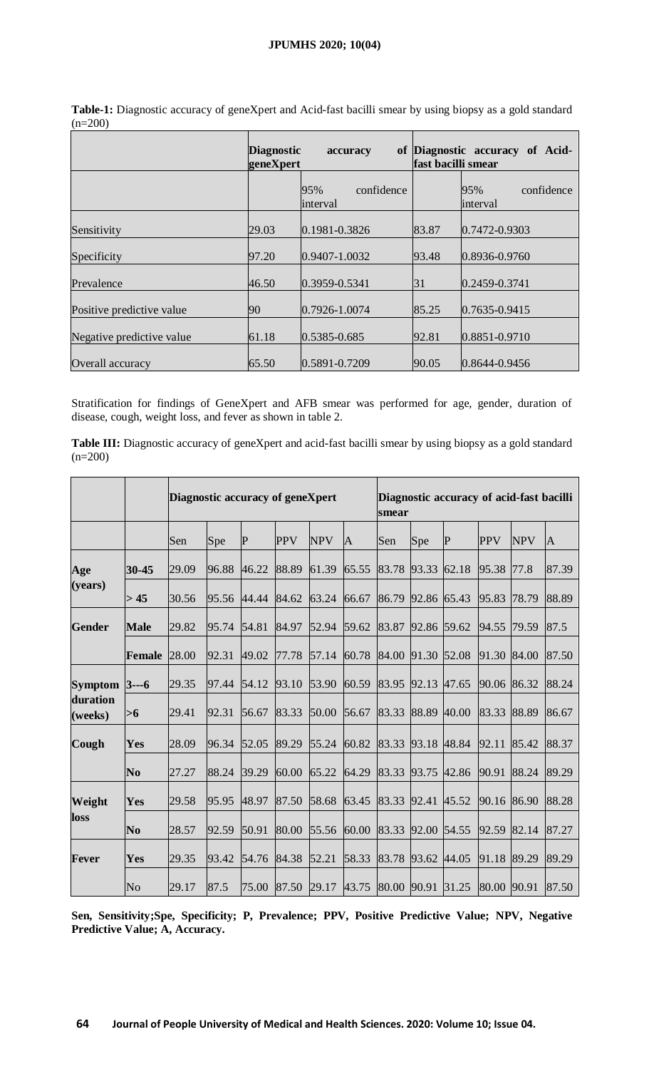# **JPUMHS 2020; 10(04)**

|                           | <b>Diagnostic</b><br>geneXpert | accuracy                      |       | of Diagnostic accuracy of Acid-<br>fast bacilli smear |
|---------------------------|--------------------------------|-------------------------------|-------|-------------------------------------------------------|
|                           |                                | 95%<br>confidence<br>interval |       | 95%<br>confidence<br>interval                         |
| Sensitivity               | 29.03                          | 0.1981-0.3826                 | 83.87 | $0.7472 - 0.9303$                                     |
| Specificity               | 97.20                          | $0.9407 - 1.0032$             | 93.48 | 0.8936-0.9760                                         |
| Prevalence                | 46.50                          | 0.3959-0.5341                 | 31    | $0.2459 - 0.3741$                                     |
| Positive predictive value | 90                             | $0.7926 - 1.0074$             | 85.25 | $0.7635 - 0.9415$                                     |
| Negative predictive value | 61.18                          | 0.5385-0.685                  | 92.81 | 0.8851-0.9710                                         |
| Overall accuracy          | 65.50                          | 0.5891-0.7209                 | 90.05 | $0.8644 - 0.9456$                                     |

**Table-1:** Diagnostic accuracy of geneXpert and Acid-fast bacilli smear by using biopsy as a gold standard  $(n=200)$ 

Stratification for findings of GeneXpert and AFB smear was performed for age, gender, duration of disease, cough, weight loss, and fever as shown in table 2.

Table III: Diagnostic accuracy of geneXpert and acid-fast bacilli smear by using biopsy as a gold standard  $(n=200)$ 

|                                       |                | Diagnostic accuracy of geneXpert |       |             |            | Diagnostic accuracy of acid-fast bacilli<br>smear |       |                   |             |             |             |            |              |
|---------------------------------------|----------------|----------------------------------|-------|-------------|------------|---------------------------------------------------|-------|-------------------|-------------|-------------|-------------|------------|--------------|
|                                       |                | Sen                              | Spe   | $\mathbf P$ | <b>PPV</b> | <b>NPV</b>                                        | A     | Sen               | Spe         | $\mathbf P$ | <b>PPV</b>  | <b>NPV</b> | $\mathbf{A}$ |
| Age<br>(years)                        | 30-45          | 29.09                            | 96.88 | 46.22       | 88.89      | 61.39                                             | 65.55 | 83.78 93.33       |             | 62.18       | 95.38       | 77.8       | 87.39        |
|                                       | > 45           | 30.56                            | 95.56 | 44.44 84.62 |            | 63.24                                             | 66.67 | 86.79             | 92.86 65.43 |             | 95.83       | 78.79      | 88.89        |
| <b>Gender</b>                         | <b>Male</b>    | 29.82                            | 95.74 | 54.81       | 84.97      | 52.94                                             | 59.62 | 83.87 92.86 59.62 |             |             | 94.55       | 79.59      | 87.5         |
|                                       | Female         | 28.00                            | 92.31 | 49.02       | 77.78      | 57.14                                             | 60.78 | 84.00 91.30       |             | 52.08       | 91.30       | 84.00      | 87.50        |
| Symptom $3--6$<br>duration<br>(weeks) |                | 29.35                            | 97.44 | 54.12       | 93.10      | 53.90                                             | 60.59 | 83.95 92.13       |             | 47.65       | 90.06       | 86.32      | 88.24        |
|                                       | $>6$           | 29.41                            | 92.31 | 56.67       | 83.33      | 50.00                                             | 56.67 | 83.33 88.89       |             | 40.00       | 83.33       | 88.89      | 86.67        |
| Cough                                 | Yes            | 28.09                            | 96.34 | 52.05       | 89.29      | 55.24                                             | 60.82 | 83.33 93.18       |             | 48.84       | 92.11       | 85.42      | 88.37        |
|                                       | N <sub>0</sub> | 27.27                            | 88.24 | 39.29       | 60.00      | 65.22                                             | 64.29 | 83.33 93.75       |             | 42.86       | 90.91       | 88.24      | 89.29        |
| Weight<br>loss                        | Yes            | 29.58                            | 95.95 | 48.97       | 87.50      | 58.68                                             | 63.45 | 83.33 92.41       |             | 45.52       | 90.16       | 86.90      | 88.28        |
|                                       | N <sub>0</sub> | 28.57                            | 92.59 | 50.91       | 80.00      | 55.56                                             | 60.00 | 83.33 92.00 54.55 |             |             | 92.59       | 82.14      | 87.27        |
| <b>Fever</b>                          | Yes            | 29.35                            | 93.42 | 54.76       | 84.38      | 52.21                                             | 58.33 | 83.78 93.62       |             | 44.05       | 91.18       | 89.29      | 89.29        |
|                                       | No             | 29.17                            | 87.5  |             |            | 75.00 87.50 29.17 43.75 80.00 90.91 31.25         |       |                   |             |             | 80.00 90.91 |            | 87.50        |

**Sen, Sensitivity;Spe, Specificity; P, Prevalence; PPV, Positive Predictive Value; NPV, Negative Predictive Value; A, Accuracy.**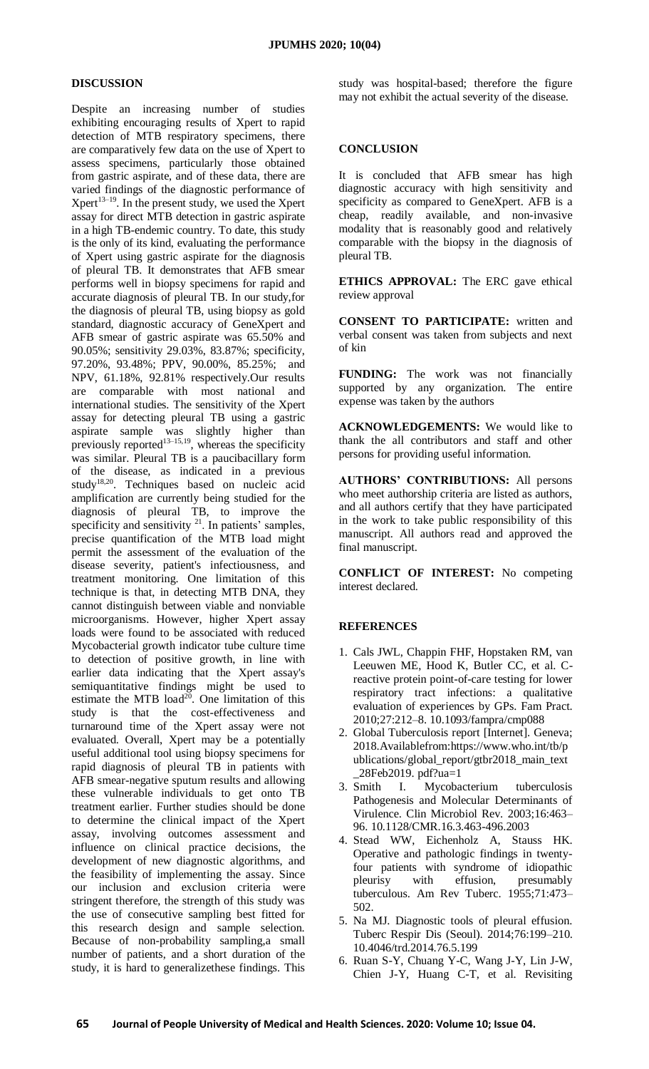#### **DISCUSSION**

Despite an increasing number of studies exhibiting encouraging results of Xpert to rapid detection of MTB respiratory specimens, there are comparatively few data on the use of Xpert to assess specimens, particularly those obtained from gastric aspirate, and of these data, there are varied findings of the diagnostic performance of  $Xper<sup>13–19</sup>$ . In the present study, we used the Xpert assay for direct MTB detection in gastric aspirate in a high TB-endemic country. To date, this study is the only of its kind, evaluating the performance of Xpert using gastric aspirate for the diagnosis of pleural TB. It demonstrates that AFB smear performs well in biopsy specimens for rapid and accurate diagnosis of pleural TB. In our study,for the diagnosis of pleural TB, using biopsy as gold standard, diagnostic accuracy of GeneXpert and AFB smear of gastric aspirate was 65.50% and 90.05%; sensitivity 29.03%, 83.87%; specificity, 97.20%, 93.48%; PPV, 90.00%, 85.25%; and NPV, 61.18%, 92.81% respectively.Our results are comparable with most national and international studies. The sensitivity of the Xpert assay for detecting pleural TB using a gastric aspirate sample was slightly higher than previously reported<sup>13–15,19</sup>, whereas the specificity was similar. Pleural TB is a paucibacillary form of the disease, as indicated in a previous study<sup>18,20</sup>. Techniques based on nucleic acid amplification are currently being studied for the diagnosis of pleural TB, to improve the specificity and sensitivity <sup>21</sup>. In patients' samples, precise quantification of the MTB load might permit the assessment of the evaluation of the disease severity, patient's infectiousness, and treatment monitoring. One limitation of this technique is that, in detecting MTB DNA, they cannot distinguish between viable and nonviable microorganisms. However, higher Xpert assay loads were found to be associated with reduced Mycobacterial growth indicator tube culture time to detection of positive growth, in line with earlier data indicating that the Xpert assay's semiquantitative findings might be used to estimate the MTB load $2^{0}$ . One limitation of this study is that the cost-effectiveness and turnaround time of the Xpert assay were not evaluated. Overall, Xpert may be a potentially useful additional tool using biopsy specimens for rapid diagnosis of pleural TB in patients with AFB smear-negative sputum results and allowing these vulnerable individuals to get onto TB treatment earlier. Further studies should be done to determine the clinical impact of the Xpert assay, involving outcomes assessment and influence on clinical practice decisions, the development of new diagnostic algorithms, and the feasibility of implementing the assay. Since our inclusion and exclusion criteria were stringent therefore, the strength of this study was the use of consecutive sampling best fitted for this research design and sample selection. Because of non-probability sampling,a small number of patients, and a short duration of the study, it is hard to generalizethese findings. This

study was hospital-based; therefore the figure may not exhibit the actual severity of the disease.

# **CONCLUSION**

It is concluded that AFB smear has high diagnostic accuracy with high sensitivity and specificity as compared to GeneXpert. AFB is a cheap, readily available, and non-invasive modality that is reasonably good and relatively comparable with the biopsy in the diagnosis of pleural TB.

**ETHICS APPROVAL:** The ERC gave ethical review approval

**CONSENT TO PARTICIPATE:** written and verbal consent was taken from subjects and next of kin

**FUNDING:** The work was not financially supported by any organization. The entire expense was taken by the authors

**ACKNOWLEDGEMENTS:** We would like to thank the all contributors and staff and other persons for providing useful information.

**AUTHORS' CONTRIBUTIONS:** All persons who meet authorship criteria are listed as authors, and all authors certify that they have participated in the work to take public responsibility of this manuscript. All authors read and approved the final manuscript.

**CONFLICT OF INTEREST:** No competing interest declared.

# **REFERENCES**

- 1. Cals JWL, Chappin FHF, Hopstaken RM, van Leeuwen ME, Hood K, Butler CC, et al. Creactive protein point-of-care testing for lower respiratory tract infections: a qualitative evaluation of experiences by GPs. Fam Pract. 2010;27:212–8. 10.1093/fampra/cmp088
- 2. Global Tuberculosis report [Internet]. Geneva; 2018.Availablefrom:https://www.who.int/tb/p ublications/global\_report/gtbr2018\_main\_text  $-28$ Feb2019. pdf?ua=1<br>3. Smith I. Mycoba
- I. Mycobacterium tuberculosis Pathogenesis and Molecular Determinants of Virulence. Clin Microbiol Rev. 2003;16:463– 96. 10.1128/CMR.16.3.463-496.2003
- 4. Stead WW, Eichenholz A, Stauss HK. Operative and pathologic findings in twentyfour patients with syndrome of idiopathic pleurisy with effusion, presumably tuberculous. Am Rev Tuberc. 1955;71:473– 502.
- 5. Na MJ. Diagnostic tools of pleural effusion. Tuberc Respir Dis (Seoul). 2014;76:199–210. 10.4046/trd.2014.76.5.199
- 6. Ruan S-Y, Chuang Y-C, Wang J-Y, Lin J-W, Chien J-Y, Huang C-T, et al. Revisiting